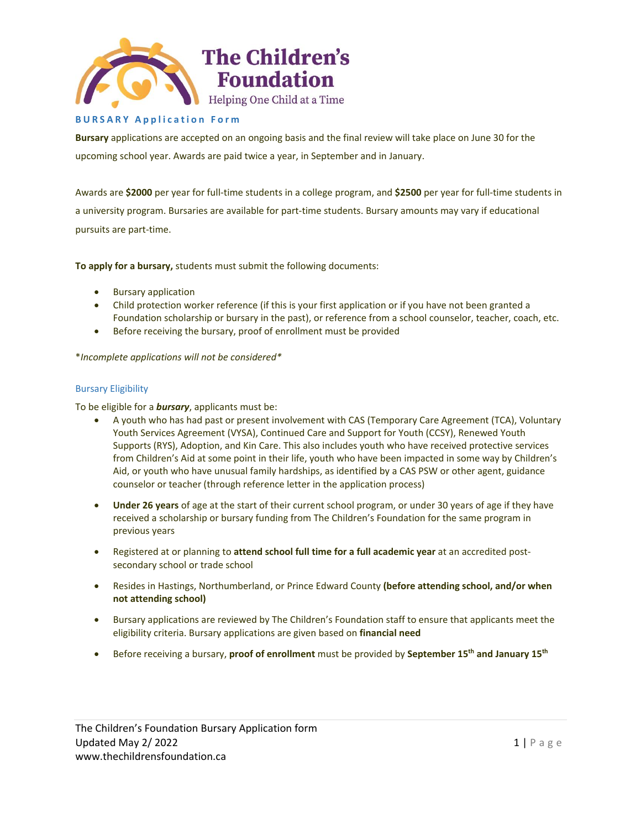

## **B U R S A R Y A p p l i c a t i o n F o r m**

**Bursary** applications are accepted on an ongoing basis and the final review will take place on June 30 for the upcoming school year. Awards are paid twice a year, in September and in January.

Awards are **\$2000** per year for full-time students in a college program, and **\$2500** per year for full-time students in a university program. Bursaries are available for part-time students. Bursary amounts may vary if educational pursuits are part-time.

**To apply for a bursary,** students must submit the following documents:

- Bursary application
- Child protection worker reference (if this is your first application or if you have not been granted a Foundation scholarship or bursary in the past), or reference from a school counselor, teacher, coach, etc.
- Before receiving the bursary, proof of enrollment must be provided

\**Incomplete applications will not be considered\**

### Bursary Eligibility

To be eligible for a *bursary*, applicants must be:

- A youth who has had past or present involvement with CAS (Temporary Care Agreement (TCA), Voluntary Youth Services Agreement (VYSA), Continued Care and Support for Youth (CCSY), Renewed Youth Supports (RYS), Adoption, and Kin Care. This also includes youth who have received protective services from Children's Aid at some point in their life, youth who have been impacted in some way by Children's Aid, or youth who have unusual family hardships, as identified by a CAS PSW or other agent, guidance counselor or teacher (through reference letter in the application process)
- **Under 26 years** of age at the start of their current school program, or under 30 years of age if they have received a scholarship or bursary funding from The Children's Foundation for the same program in previous years
- Registered at or planning to **attend school full time for a full academic year** at an accredited postsecondary school or trade school
- Resides in Hastings, Northumberland, or Prince Edward County **(before attending school, and/or when not attending school)**
- Bursary applications are reviewed by The Children's Foundation staff to ensure that applicants meet the eligibility criteria. Bursary applications are given based on **financial need**
- Before receiving a bursary, **proof of enrollment** must be provided by **September 15th and January 15th**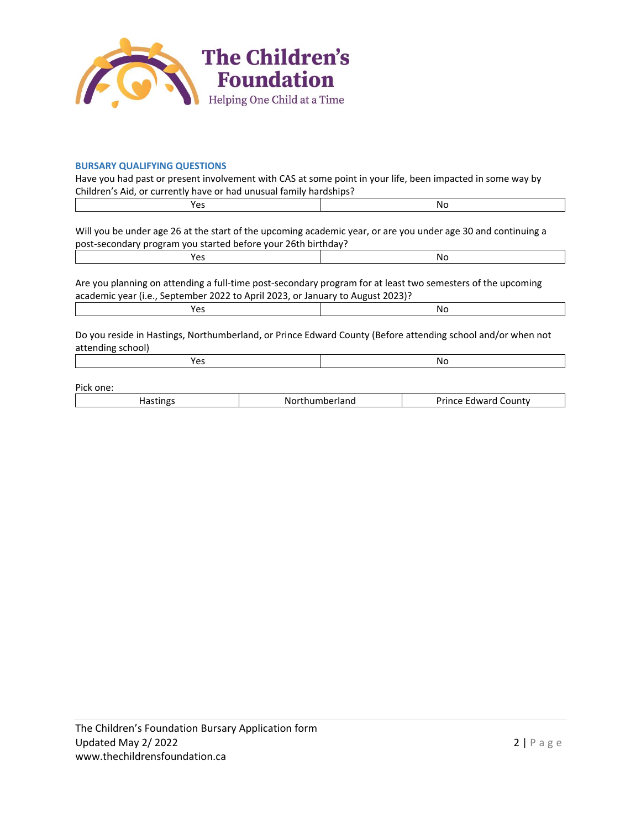

## **BURSARY QUALIFYING QUESTIONS**

Have you had past or present involvement with CAS at some point in your life, been impacted in some way by Children's Aid, or currently have or had unusual family hardships?

| Will you be under age 26 at the start of the upcoming academic year, or are you under age 30 and continuing a<br>post-secondary program you started before your 26th birthday?                |  |  |  |
|-----------------------------------------------------------------------------------------------------------------------------------------------------------------------------------------------|--|--|--|
| No                                                                                                                                                                                            |  |  |  |
| Are you planning on attending a full-time post-secondary program for at least two semesters of the upcoming<br>academic year (i.e., September 2022 to April 2023, or January to August 2023)? |  |  |  |
| No                                                                                                                                                                                            |  |  |  |
| Do you reside in Hastings, Northumberland, or Prince Edward County (Before attending school and/or when not<br>attending school)                                                              |  |  |  |
| No                                                                                                                                                                                            |  |  |  |
|                                                                                                                                                                                               |  |  |  |

Pick one:

| . | .<br>- -<br>ΝO<br>' Idi IL<br>$\cdot$ | _ountv<br>-----<br>nwar<br>$ -$<br>______ |
|---|---------------------------------------|-------------------------------------------|
|   |                                       |                                           |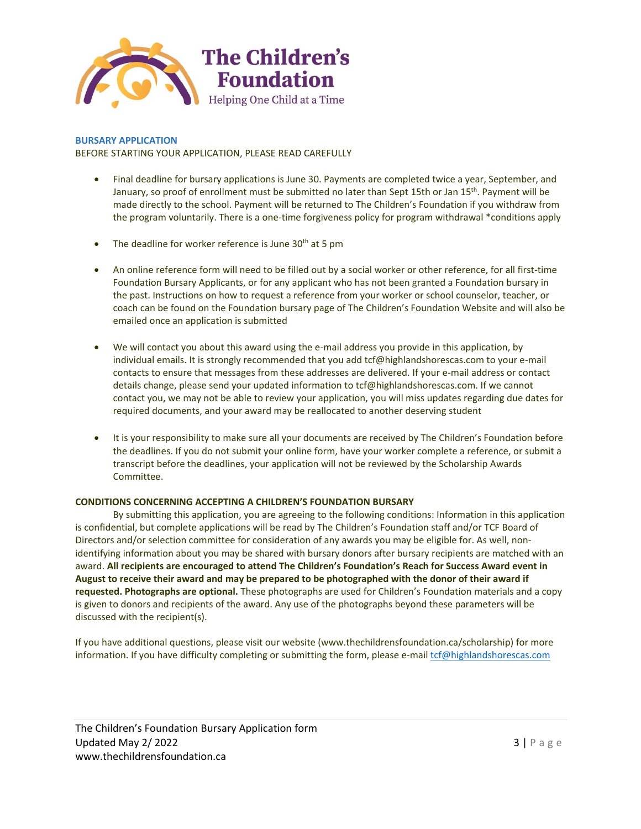

**BURSARY APPLICATION** BEFORE STARTING YOUR APPLICATION, PLEASE READ CAREFULLY

- Final deadline for bursary applications is June 30. Payments are completed twice a year, September, and January, so proof of enrollment must be submitted no later than Sept 15th or Jan 15<sup>th</sup>. Payment will be made directly to the school. Payment will be returned to The Children's Foundation if you withdraw from the program voluntarily. There is a one-time forgiveness policy for program withdrawal \*conditions apply
- The deadline for worker reference is June  $30<sup>th</sup>$  at 5 pm
- An online reference form will need to be filled out by a social worker or other reference, for all first-time Foundation Bursary Applicants, or for any applicant who has not been granted a Foundation bursary in the past. Instructions on how to request a reference from your worker or school counselor, teacher, or coach can be found on the Foundation bursary page of The Children's Foundation Website and will also be emailed once an application is submitted
- We will contact you about this award using the e-mail address you provide in this application, by individual emails. It is strongly recommended that you add tcf@highlandshorescas.com to your e-mail contacts to ensure that messages from these addresses are delivered. If your e-mail address or contact details change, please send your updated information to tcf@highlandshorescas.com. If we cannot contact you, we may not be able to review your application, you will miss updates regarding due dates for required documents, and your award may be reallocated to another deserving student
- It is your responsibility to make sure all your documents are received by The Children's Foundation before the deadlines. If you do not submit your online form, have your worker complete a reference, or submit a transcript before the deadlines, your application will not be reviewed by the Scholarship Awards Committee.

### **CONDITIONS CONCERNING ACCEPTING A CHILDREN'S FOUNDATION BURSARY**

By submitting this application, you are agreeing to the following conditions: Information in this application is confidential, but complete applications will be read by The Children's Foundation staff and/or TCF Board of Directors and/or selection committee for consideration of any awards you may be eligible for. As well, nonidentifying information about you may be shared with bursary donors after bursary recipients are matched with an award. **All recipients are encouraged to attend The Children's Foundation's Reach for Success Award event in August to receive their award and may be prepared to be photographed with the donor of their award if requested. Photographs are optional.** These photographs are used for Children's Foundation materials and a copy is given to donors and recipients of the award. Any use of the photographs beyond these parameters will be discussed with the recipient(s).

If you have additional questions, please visit our website (www.thechildrensfoundation.ca/scholarship) for more information. If you have difficulty completing or submitting the form, please e-mai[l tcf@highlandshorescas.com](mailto:grants@cafdn.org)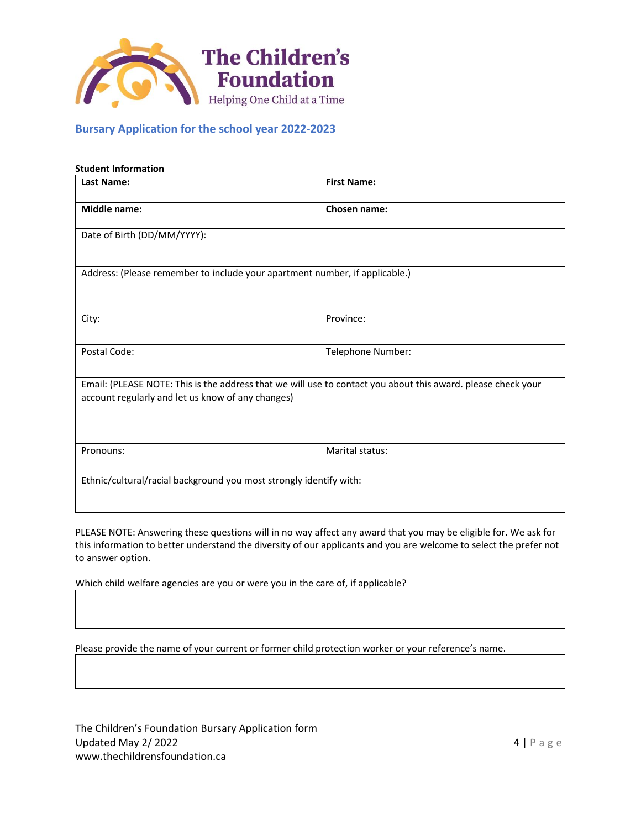

# **Bursary Application for the school year 2022-2023**

| <b>Student Information</b><br><b>Last Name:</b>                    | <b>First Name:</b>                                                                                           |
|--------------------------------------------------------------------|--------------------------------------------------------------------------------------------------------------|
|                                                                    |                                                                                                              |
| <b>Middle name:</b>                                                | <b>Chosen name:</b>                                                                                          |
| Date of Birth (DD/MM/YYYY):                                        |                                                                                                              |
|                                                                    | Address: (Please remember to include your apartment number, if applicable.)                                  |
| City:                                                              | Province:                                                                                                    |
| Postal Code:                                                       | Telephone Number:                                                                                            |
| account regularly and let us know of any changes)                  | Email: (PLEASE NOTE: This is the address that we will use to contact you about this award. please check your |
| Pronouns:                                                          | Marital status:                                                                                              |
| Ethnic/cultural/racial background you most strongly identify with: |                                                                                                              |

PLEASE NOTE: Answering these questions will in no way affect any award that you may be eligible for. We ask for this information to better understand the diversity of our applicants and you are welcome to select the prefer not to answer option.

Which child welfare agencies are you or were you in the care of, if applicable?

Please provide the name of your current or former child protection worker or your reference's name.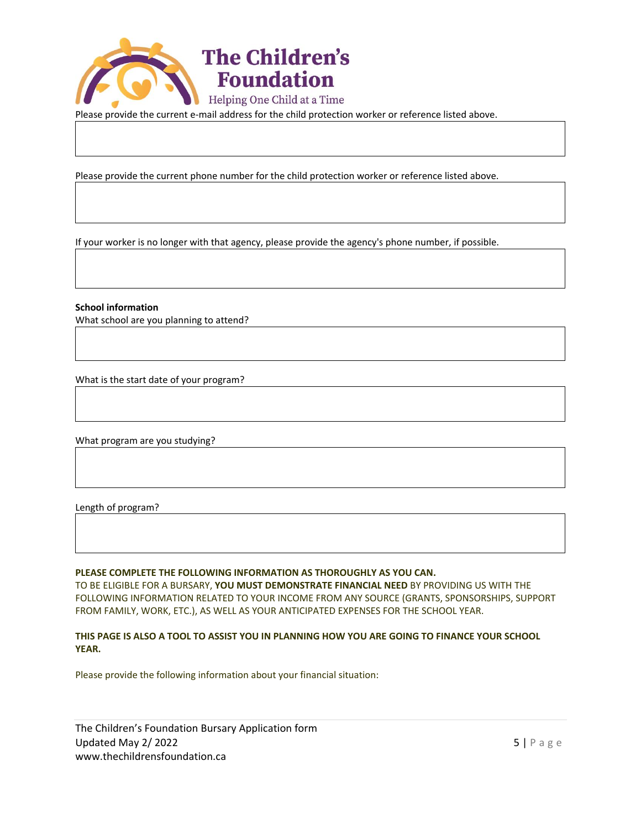

Please provide the current e-mail address for the child protection worker or reference listed above.

Please provide the current phone number for the child protection worker or reference listed above.

If your worker is no longer with that agency, please provide the agency's phone number, if possible.

**School information**

What school are you planning to attend?

What is the start date of your program?

What program are you studying?

Length of program?

#### **PLEASE COMPLETE THE FOLLOWING INFORMATION AS THOROUGHLY AS YOU CAN.**

TO BE ELIGIBLE FOR A BURSARY, **YOU MUST DEMONSTRATE FINANCIAL NEED** BY PROVIDING US WITH THE FOLLOWING INFORMATION RELATED TO YOUR INCOME FROM ANY SOURCE (GRANTS, SPONSORSHIPS, SUPPORT FROM FAMILY, WORK, ETC.), AS WELL AS YOUR ANTICIPATED EXPENSES FOR THE SCHOOL YEAR.

### **THIS PAGE IS ALSO A TOOL TO ASSIST YOU IN PLANNING HOW YOU ARE GOING TO FINANCE YOUR SCHOOL YEAR.**

Please provide the following information about your financial situation:

The Children's Foundation Bursary Application form Updated May 2/2022  $\overline{5}$  | P a g e [www.thechildrensfoundation.ca](http://www.thechildrensfoundation.ca/)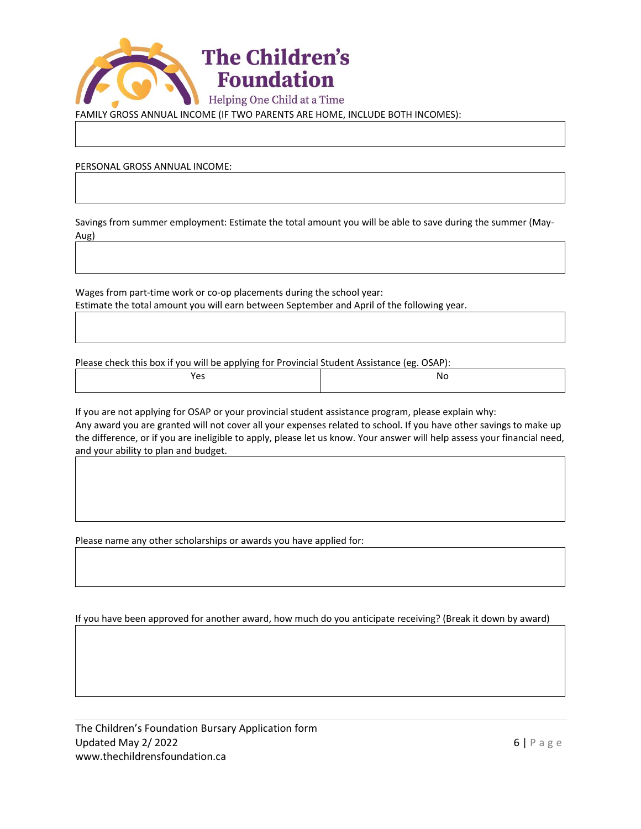

FAMILY GROSS ANNUAL INCOME (IF TWO PARENTS ARE HOME, INCLUDE BOTH INCOMES):

PERSONAL GROSS ANNUAL INCOME:

Savings from summer employment: Estimate the total amount you will be able to save during the summer (May-Aug)

Wages from part-time work or co-op placements during the school year: Estimate the total amount you will earn between September and April of the following year.

Please check this box if you will be applying for Provincial Student Assistance (eg. OSAP):

Yes Note and the Notation of the Notation of the Notation of the Notation of the Notation of the Notation of the No

If you are not applying for OSAP or your provincial student assistance program, please explain why: Any award you are granted will not cover all your expenses related to school. If you have other savings to make up the difference, or if you are ineligible to apply, please let us know. Your answer will help assess your financial need, and your ability to plan and budget.

Please name any other scholarships or awards you have applied for:

If you have been approved for another award, how much do you anticipate receiving? (Break it down by award)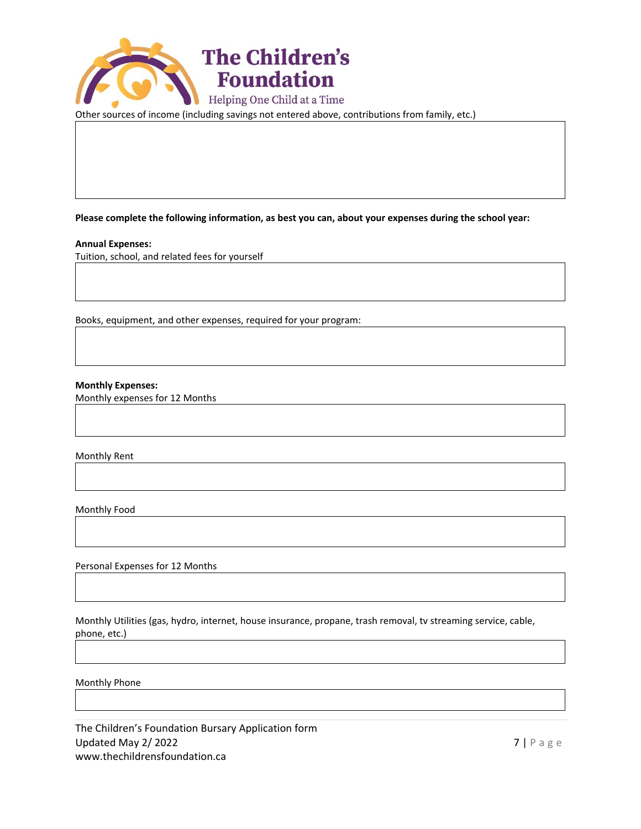

Other sources of income (including savings not entered above, contributions from family, etc.)

**Please complete the following information, as best you can, about your expenses during the school year:**

## **Annual Expenses:**

Tuition, school, and related fees for yourself

Books, equipment, and other expenses, required for your program:

**Monthly Expenses:**

Monthly expenses for 12 Months

Monthly Rent

Monthly Food

Personal Expenses for 12 Months

Monthly Utilities (gas, hydro, internet, house insurance, propane, trash removal, tv streaming service, cable, phone, etc.)

Monthly Phone

The Children's Foundation Bursary Application form Updated May 2/2022  $\blacksquare$ [www.thechildrensfoundation.ca](http://www.thechildrensfoundation.ca/)